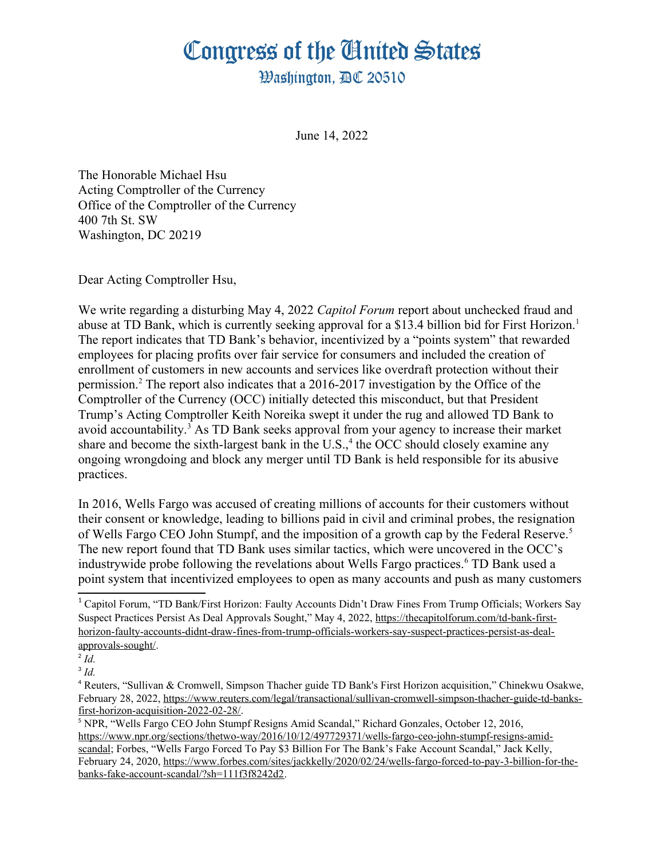## Congress of the Ginited States

**Washinaton. AC 20510** 

June 14, 2022

The Honorable Michael Hsu Acting Comptroller of the Currency Office of the Comptroller of the Currency 400 7th St. SW Washington, DC 20219

Dear Acting Comptroller Hsu,

We write regarding a disturbing May 4, 2022 *Capitol Forum* report about unchecked fraud and abuse at TD Bank, which is currently seeking approval for a \$13.4 billion bid for First Horizon.<sup>1</sup> The report indicates that TD Bank's behavior, incentivized by a "points system" that rewarded employees for placing profits over fair service for consumers and included the creation of enrollment of customers in new accounts and services like overdraft protection without their permission.<sup>2</sup> The report also indicates that a 2016-2017 investigation by the Office of the Comptroller of the Currency (OCC) initially detected this misconduct, but that President Trump's Acting Comptroller Keith Noreika swept it under the rug and allowed TD Bank to avoid accountability.<sup>3</sup> As TD Bank seeks approval from your agency to increase their market share and become the sixth-largest bank in the U.S.,  $4$  the OCC should closely examine any ongoing wrongdoing and block any merger until TD Bank is held responsible for its abusive practices.

In 2016, Wells Fargo was accused of creating millions of accounts for their customers without their consent or knowledge, leading to billions paid in civil and criminal probes, the resignation of Wells Fargo CEO John Stumpf, and the imposition of a growth cap by the Federal Reserve.<sup>5</sup> The new report found that TD Bank uses similar tactics, which were uncovered in the OCC's industrywide probe following the revelations about Wells Fargo practices.<sup>6</sup> TD Bank used a point system that incentivized employees to open as many accounts and push as many customers

<sup>&</sup>lt;sup>1</sup> Capitol Forum, "TD Bank/First Horizon: Faulty Accounts Didn't Draw Fines From Trump Officials: Workers Say Suspect Practices Persist As Deal Approvals Sought," May 4, 2022, https://thecapitolforum.com/td-bank-firsthorizon-faulty-accounts-didnt-draw-fines-from-trump-officials-workers-say-suspect-practices-persist-as-dealapprovals-sought/.

<sup>2</sup> *Id.*

<sup>3</sup> *Id.*

<sup>4</sup> Reuters, "Sullivan & Cromwell, Simpson Thacher guide TD Bank's First Horizon acquisition," Chinekwu Osakwe, February 28, 2022, https://www.reuters.com/legal/transactional/sullivan-cromwell-simpson-thacher-guide-td-banksfirst-horizon-acquisition-2022-02-28/.

<sup>&</sup>lt;sup>5</sup> NPR, "Wells Fargo CEO John Stumpf Resigns Amid Scandal," Richard Gonzales, October 12, 2016. https://www.npr.org/sections/thetwo-way/2016/10/12/497729371/wells-fargo-ceo-john-stumpf-resigns-amidscandal; Forbes, "Wells Fargo Forced To Pay \$3 Billion For The Bank's Fake Account Scandal," Jack Kelly, February 24, 2020, https://www.forbes.com/sites/jackkelly/2020/02/24/wells-fargo-forced-to-pay-3-billion-for-thebanks-fake-account-scandal/?sh=111f3f8242d2.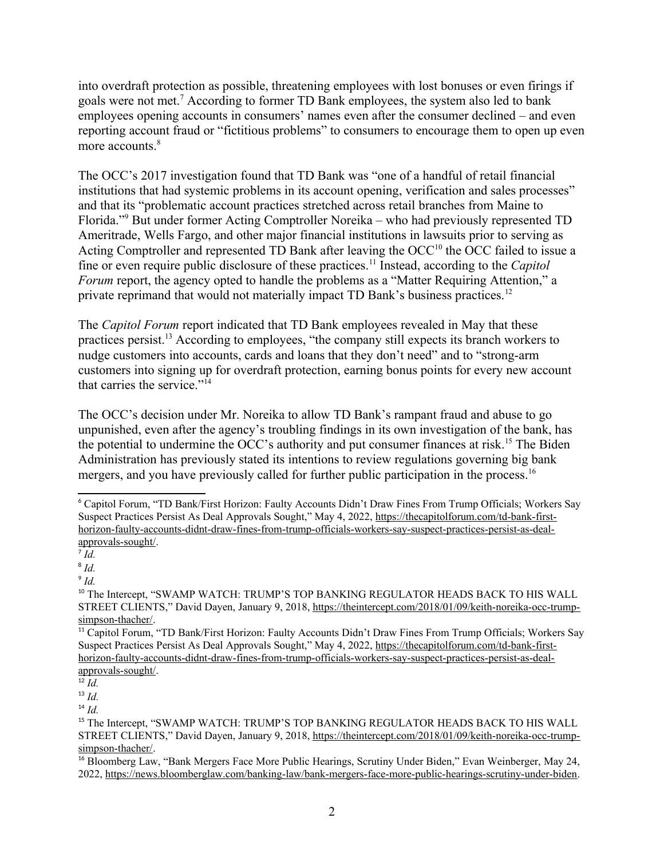into overdraft protection as possible, threatening employees with lost bonuses or even firings if goals were not met.<sup>7</sup> According to former TD Bank employees, the system also led to bank employees opening accounts in consumers' names even after the consumer declined – and even reporting account fraud or "fictitious problems" to consumers to encourage them to open up even more accounts.<sup>8</sup>

The OCC's 2017 investigation found that TD Bank was "one of a handful of retail financial institutions that had systemic problems in its account opening, verification and sales processes" and that its "problematic account practices stretched across retail branches from Maine to Florida."<sup>9</sup> But under former Acting Comptroller Noreika – who had previously represented TD Ameritrade, Wells Fargo, and other major financial institutions in lawsuits prior to serving as Acting Comptroller and represented TD Bank after leaving the  $OCC<sup>10</sup>$  the OCC failed to issue a fine or even require public disclosure of these practices.11 Instead, according to the *Capitol Forum* report, the agency opted to handle the problems as a "Matter Requiring Attention," a private reprimand that would not materially impact TD Bank's business practices.<sup>12</sup>

The *Capitol Forum* report indicated that TD Bank employees revealed in May that these practices persist.13 According to employees, "the company still expects its branch workers to nudge customers into accounts, cards and loans that they don't need" and to "strong-arm customers into signing up for overdraft protection, earning bonus points for every new account that carries the service."<sup>14</sup>

The OCC's decision under Mr. Noreika to allow TD Bank's rampant fraud and abuse to go unpunished, even after the agency's troubling findings in its own investigation of the bank, has the potential to undermine the OCC's authority and put consumer finances at risk.<sup>15</sup> The Biden Administration has previously stated its intentions to review regulations governing big bank mergers, and you have previously called for further public participation in the process.<sup>16</sup>

<sup>6</sup> Capitol Forum, "TD Bank/First Horizon: Faulty Accounts Didn't Draw Fines From Trump Officials; Workers Say Suspect Practices Persist As Deal Approvals Sought," May 4, 2022, https://thecapitolforum.com/td-bank-firsthorizon-faulty-accounts-didnt-draw-fines-from-trump-officials-workers-say-suspect-practices-persist-as-dealapprovals-sought/.

 $\overline{d}$ .

<sup>8</sup> *Id.*

<sup>9</sup> *Id.*

<sup>&</sup>lt;sup>10</sup> The Intercept, "SWAMP WATCH: TRUMP'S TOP BANKING REGULATOR HEADS BACK TO HIS WALL STREET CLIENTS," David Dayen, January 9, 2018, https://theintercept.com/2018/01/09/keith-noreika-occ-trumpsimpson-thacher/.

<sup>&</sup>lt;sup>11</sup> Capitol Forum, "TD Bank/First Horizon: Faulty Accounts Didn't Draw Fines From Trump Officials: Workers Sav Suspect Practices Persist As Deal Approvals Sought," May 4, 2022, https://thecapitolforum.com/td-bank-firsthorizon-faulty-accounts-didnt-draw-fines-from-trump-officials-workers-say-suspect-practices-persist-as-dealapprovals-sought/.

 $\overline{12}$  *Id.* 

<sup>13</sup> *Id.*

<sup>14</sup> *Id.*

<sup>&</sup>lt;sup>15</sup> The Intercept, "SWAMP WATCH: TRUMP'S TOP BANKING REGULATOR HEADS BACK TO HIS WALL STREET CLIENTS," David Dayen, January 9, 2018, https://theintercept.com/2018/01/09/keith-noreika-occ-trumpsimpson-thacher/.

<sup>&</sup>lt;sup>16</sup> Bloomberg Law, "Bank Mergers Face More Public Hearings, Scrutiny Under Biden," Evan Weinberger, May 24, 2022, https://news.bloomberglaw.com/banking-law/bank-mergers-face-more-public-hearings-scrutiny-under-biden.